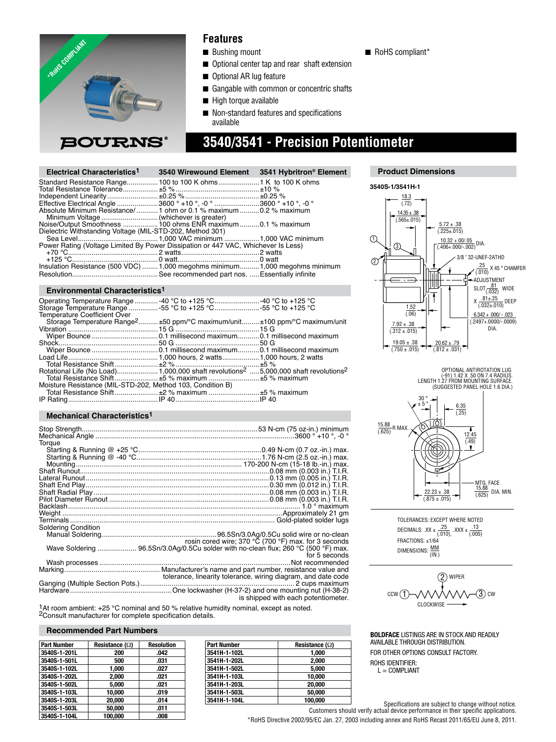

### **Features**

- Bushing mount
- Optional center tap and rear shaft extension
- Optional AR lug feature
- Gangable with common or concentric shafts
- High torque available
- Non-standard features and specifications available

## **3540/3541 - Precision Potentiometer**

| Electrical Characteristics <sup>1</sup>                                           | 3540 Wirewound Element | 3541 Hybritron <sup>®</sup> Element |
|-----------------------------------------------------------------------------------|------------------------|-------------------------------------|
|                                                                                   |                        |                                     |
|                                                                                   |                        |                                     |
|                                                                                   |                        |                                     |
| Effective Electrical Angle 3600 ° +10 °, -0 ° 3600 ° +10 °, -0 °                  |                        |                                     |
| Absolute Minimum Resistance/1 ohm or 0.1 % maximum 0.2 % maximum                  |                        |                                     |
|                                                                                   |                        |                                     |
| Noise/Output Smoothness 100 ohms ENR maximum 0.1 % maximum                        |                        |                                     |
| Dielectric Withstanding Voltage (MIL-STD-202, Method 301)                         |                        |                                     |
|                                                                                   |                        |                                     |
| Power Rating (Voltage Limited By Power Dissipation or 447 VAC, Whichever Is Less) |                        |                                     |
|                                                                                   |                        |                                     |
|                                                                                   |                        |                                     |
| Insulation Resistance (500 VDC)  1,000 megohms minimum 1,000 megohms minimum      |                        |                                     |
|                                                                                   |                        |                                     |

#### **Environmental Characteristics1**

| Operating Temperature Range -40 °C to +125 °C 40 °C to +125 °C                          |  |
|-----------------------------------------------------------------------------------------|--|
| Storage Temperature Range -55 °C to +125 °C 55 °C to +125 °C                            |  |
| <b>Temperature Coefficient Over</b>                                                     |  |
| Storage Temperature Range <sup>2</sup> ±50 ppm/°C maximum/unit ±100 ppm/°C maximum/unit |  |
|                                                                                         |  |
|                                                                                         |  |
|                                                                                         |  |
|                                                                                         |  |
|                                                                                         |  |
|                                                                                         |  |
|                                                                                         |  |
| Total Resistance Shift±5 % maximum ±5 % maximum                                         |  |
| Moisture Resistance (MIL-STD-202, Method 103, Condition B)                              |  |
|                                                                                         |  |
|                                                                                         |  |

#### **Mechanical Characteristics1**

| Torque              |                                                                                    |
|---------------------|------------------------------------------------------------------------------------|
|                     |                                                                                    |
|                     |                                                                                    |
|                     |                                                                                    |
|                     |                                                                                    |
|                     |                                                                                    |
|                     |                                                                                    |
|                     |                                                                                    |
|                     |                                                                                    |
|                     |                                                                                    |
|                     |                                                                                    |
| Soldering Condition |                                                                                    |
|                     |                                                                                    |
|                     | rosin cored wire; 370 °C (700 °F) max. for 3 seconds                               |
|                     | Wave Soldering  96.5Sn/3.0Ag/0.5Cu solder with no-clean flux; 260 °C (500 °F) max. |
|                     | for 5 seconds                                                                      |
|                     |                                                                                    |
|                     |                                                                                    |
|                     | tolerance, linearity tolerance, wiring diagram, and date code                      |
|                     |                                                                                    |
|                     |                                                                                    |
|                     | is shipped with each potentiometer.                                                |

1At room ambient: +25 °C nominal and 50 % relative humidity nominal, except as noted. 2Consult manufacturer for complete specifi cation details.

#### **Recommended Part Numbers**

| <b>Part Number</b> | Resistance $(\Omega)$ | <b>Resolution</b> |
|--------------------|-----------------------|-------------------|
| 3540S-1-201L       | 200                   | .042              |
| 3540S-1-501L       | 500                   | .031              |
| 3540S-1-102L       | 1.000                 | .027              |
| 3540S-1-202L       | 2.000                 | .021              |
| 3540S-1-502L       | 5.000                 | .021              |
| 3540S-1-103L       | 10.000                | .019              |
| 3540S-1-203L       | 20.000                | .014              |
| 3540S-1-503L       | 50.000                | .011              |
| 3540S-1-104L       | 100.000               | .008              |

| <b>Part Number</b> | Resistance $(\Omega)$ |
|--------------------|-----------------------|
| 3541H-1-102L       | 1.000                 |
| 3541H-1-202L       | 2,000                 |
| 3541H-1-502L       | 5.000                 |
| 3541H-1-103L       | 10,000                |
| 3541H-1-203L       | 20,000                |
| 3541H-1-503L       | 50,000                |
| 3541H-1-104L       | 100.000               |



**Product Dimensions**

**3540S-1/3541H-1** 18.3  $(72)$  $14.35 \pm .38$  $(0.565 \pm 0.015)$  $\frac{5.72 \pm .38}{(.225 \pm .015)}$  $\overline{0}$  $\frac{10.32 + 00/05}{(0.406 + 0.000) - 0.002}$  DIA. ദ 3/8 " 32-UNEF-2ATHD  $^{\circledR}$  $\frac{.25}{(.010)}$  $X$  45 ° CHAMFER ADJUSTMENT ШШ SLOT<u>(.032)</u> WIDE  $\overline{\mathsf{f}}$ X .81±.25 DEEP (.032±.010)  $\frac{1.52}{(.06)}$  $6.342 + .000/ - .023$ (.2497+.0000/-.0009)  $7.92 \pm .38$ DIA.  $(0.312 \pm 0.015)$  $\frac{19.05 \pm .38}{(.750 \pm .015)}$  $\frac{20.62 \pm .79}{(.812 \pm .031)}$ 



TOLERANCES: EXCEPT WHERE NOTED DECIMALS:  $XX \pm \frac{.25}{(.010)}$ ,  $XXX \pm \frac{.13}{(.005)}$ FRACTIONS: ±1/64 DIMENSIONS:  $\frac{MM}{(IN)}$ 



**BOLDFACE** LISTINGS ARE IN STOCK AND READILY AVAILABLE THROUGH DISTRIBUTION. FOR OTHER OPTIONS CONSULT FACTORY. ROHS IDENTIFIER:  $L =$  COMPLIANT

Specifications are subject to change without notice.

Customers should verify actual device performance in their specific applications.

\*RoHS Directive 2002/95/EC Jan. 27, 2003 including annex and RoHS Recast 2011/65/EU June 8, 2011.